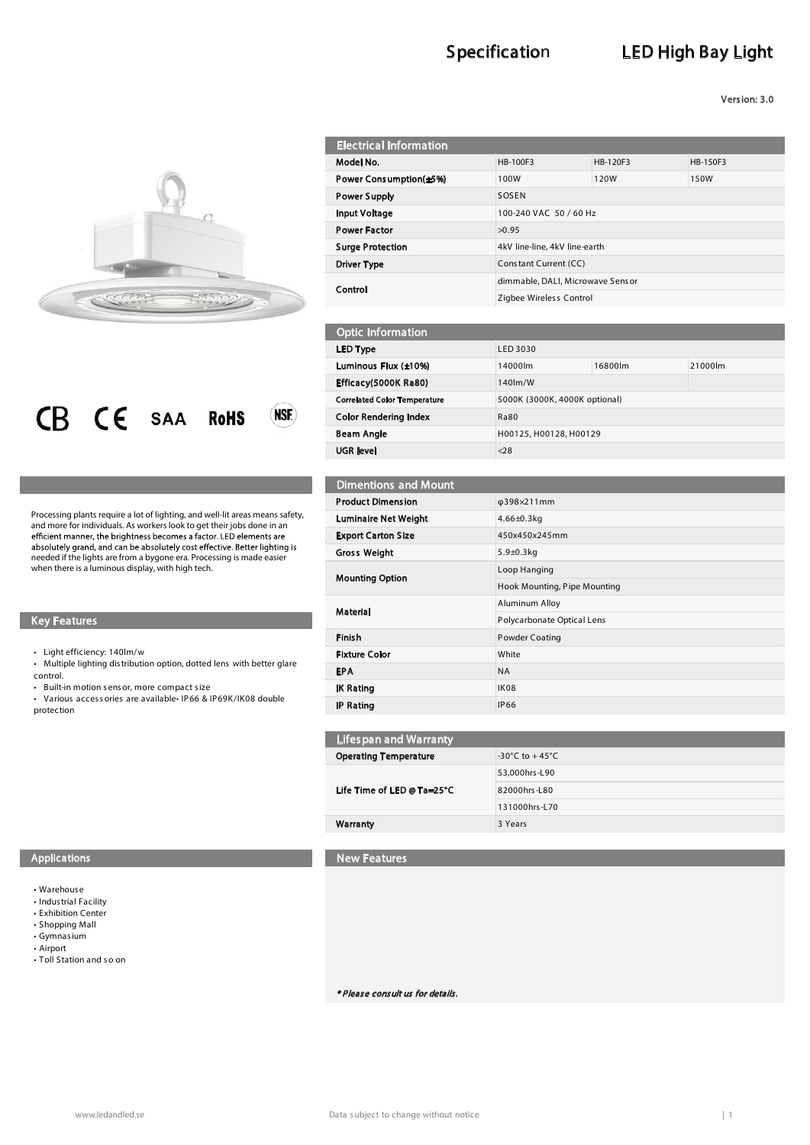# Specification LED High Bay Light

Version: 3.0



I



 Processing plants require a lot of lighting, and well-lit areas means safety, more for individuals. As workers look to get th hildent manner, the brightness becomes a factor. LED elements a absolutely grand, and can be absolutely co and more for individuals. As workers look to get their jobs done in an needed if the lights are from a bygone era. Processing is made easier when there is a luminous display, with high tech.

### Key Features

 $\cdot$  Light efficiency: 140lm/w

. Multiple lighting distribution option, dotted lens with better glare control.

t Built-in motion s ens or, more compact s ize

• Various accessories are available IP66 & IP69K/IK08 double protection

| <b>Electrical Information</b> |                                  |          |          |
|-------------------------------|----------------------------------|----------|----------|
| Model No.                     | <b>HB-100F3</b>                  | HB-120F3 | HB-150F3 |
| Power Consumption(±5%)        | 100W                             | 120W     | 150W     |
| <b>Power Supply</b>           | SOSEN                            |          |          |
| <b>Input Voltage</b>          | 100-240 VAC 50 / 60 Hz           |          |          |
| <b>Power Factor</b>           | >0.95                            |          |          |
| <b>Surge Protection</b>       | 4kV line-line, 4kV line-earth    |          |          |
| Driver Type                   | Constant Current (CC)            |          |          |
| Control                       | dimmable, DALI, Microwave Sensor |          |          |
|                               | Zigbee Wireless Control          |          |          |

| <b>Optic Information</b>            |          |                               |         |  |
|-------------------------------------|----------|-------------------------------|---------|--|
| LED Type                            | LED 3030 |                               |         |  |
| Luminous Flux (±10%)                | 14000lm  | 16800lm                       | 21000lm |  |
| Efficacy(5000K Ra80)                | 140lm/W  |                               |         |  |
| <b>Correlated Color Temperature</b> |          | 5000K (3000K, 4000K optional) |         |  |
| <b>Color Rendering Index</b>        | Ra80     |                               |         |  |
| <b>Beam Angle</b>                   |          | H00125, H00128, H00129        |         |  |
| <b>UGR</b> level                    | 28       |                               |         |  |

| <b>Dimentions and Mount</b> |                              |
|-----------------------------|------------------------------|
| <b>Product Dimension</b>    | φ398×211mm                   |
| <b>Luminaire Net Weight</b> | $4.66 \pm 0.3$ kg            |
| <b>Export Carton Size</b>   | 450x450x245mm                |
| <b>Gross Weight</b>         | $5.9 + 0.3$ kg               |
| <b>Mounting Option</b>      | Loop Hanging                 |
|                             | Hook Mounting, Pipe Mounting |
| <b>Material</b>             | Aluminum Alloy               |
|                             | Polycarbonate Optical Lens   |
| <b>Finish</b>               | <b>Powder Coating</b>        |
| <b>Fixture Color</b>        | White                        |
| <b>EPA</b>                  | <b>NA</b>                    |
| <b>IK Rating</b>            | IK08                         |
| <b>IP Rating</b>            | <b>IP66</b>                  |

| <b>Lifespan and Warranty</b> |                                    |  |
|------------------------------|------------------------------------|--|
| <b>Operating Temperature</b> | $-30^{\circ}$ C to $+45^{\circ}$ C |  |
| Life Time of LED @ Ta=25°C   | 53,000hrs-L90                      |  |
|                              | 82000hrs-L80                       |  |
|                              | 131000hrs-L70                      |  |
| Warranty                     | 3 Years                            |  |

#### Applications New Features

- t Warehous e
- Indus trial Facility
- Exhibition Center
- Shopping Mall t Gymnas ium
- t Airport
- there is not the Toll Station and so on

\* Please consult us for details.